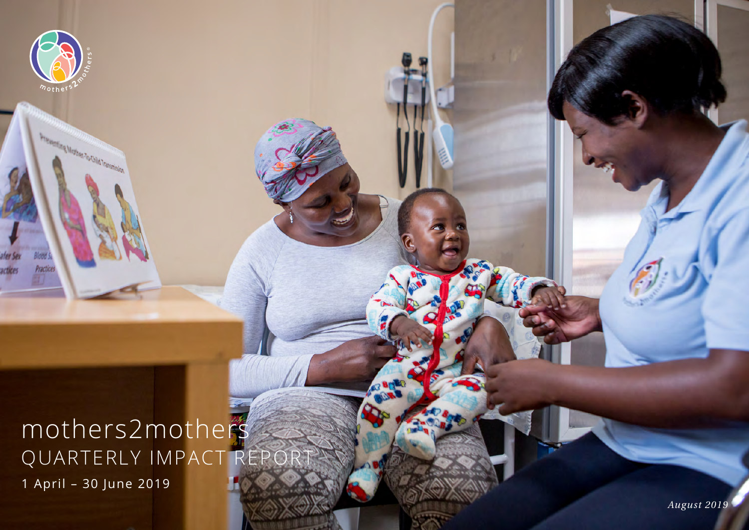# mothers2mothers QUARTERLY IMPACT REPORT 1 April – 30 June 2019

 $m$ oth

ood. Practice:

**Frement Mother To Old Transmission**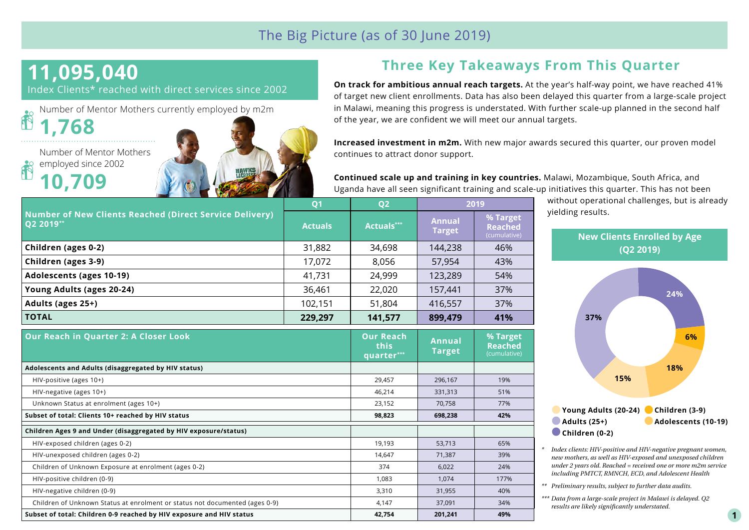### The Big Picture (as of 30 June 2019)

**this quarter\*\*\*** **Annual Target**

# **11,095,040**

Index Clients\* reached with direct services since 2002

Number of Mentor Mothers currently employed by m2m R **1,768** 

Number of Mentor Mothers employed since 2002 **10,709**

**Adolescents and Adults (disaggregated by HIV status)**

**Children Ages 9 and Under (disaggregated by HIV exposure/status)**



**Our Reach in Quarter 2: A Closer Look Our Reach** 

# **Three Key Takeaways From This Quarter**

**On track for ambitious annual reach targets.** At the year's half-way point, we have reached 41% of target new client enrollments. Data has also been delayed this quarter from a large-scale project in Malawi, meaning this progress is understated. With further scale-up planned in the second half of the year, we are confident we will meet our annual targets.

**Increased investment in m2m.** With new major awards secured this quarter, our proven model continues to attract donor support.

**Continued scale up and training in key countries.** Malawi, Mozambique, South Africa, and Uganda have all seen significant training and scale-up initiatives this quarter. This has not been

> **% Target Reached**

| <b>Number of New Clients Reached (Direct Service Delivery)</b><br>$Q2 2019***$ | <b>O1</b>      | Q <sub>2</sub> | 2019                           |                                            |
|--------------------------------------------------------------------------------|----------------|----------------|--------------------------------|--------------------------------------------|
|                                                                                | <b>Actuals</b> | Actuals***     | <b>Annual</b><br><b>Target</b> | % Target<br><b>Reached</b><br>(cumulative) |
| Children (ages 0-2)                                                            | 31,882         | 34,698         | 144,238                        | 46%                                        |
| Children (ages 3-9)                                                            | 17,072         | 8,056          | 57,954                         | 43%                                        |
| <b>Adolescents (ages 10-19)</b>                                                | 41,731         | 24,999         | 123,289                        | 54%                                        |
| Young Adults (ages 20-24)                                                      | 36,461         | 22,020         | 157,441                        | 37%                                        |
| Adults (ages 25+)                                                              | 102,151        | 51,804         | 416,557                        | 37%                                        |
| <b>TOTAL</b>                                                                   | 229,297        | 141,577        | 899,479                        | 41%                                        |

 HIV-positive (ages 10+) 29,457 296,167 19% HIV-negative (ages 10+) 61% and the set of the set of the set of the set of the set of the set of the set of the set of the set of the set of the set of the set of the set of the set of the set of the set of the set of the Unknown Status at enrolment (ages 10+) 23,152 70,758 77% **Subset of total: Clients 10+ reached by HIV status 98,823 698,238 42%**

 HIV-exposed children (ages 0-2) 19,193 53,713 65% HIV-unexposed children (ages 0-2) 14,647 15,647 14,647 15,887 15,89% Children of Unknown Exposure at enrolment (ages 0-2) 374 6,022 24% HIV-positive children (0-9) 177% 1,083 1,083 1,074 177% 1,074 1,077% HIV-negative children (0-9) 3,310 31,955 40% Children of Unknown Status at enrolment or status not documented (ages 0-9)  $\vert$  4,147  $\vert$  37,091  $\vert$  34% **Subset of total: Children 0-9 reached by HIV exposure and HIV status 42,754 201,241 49%**

without operational challenges, but is already yielding results.



*\* Index clients: HIV-positive and HIV-negative pregnant women, new mothers, as well as HIV-exposed and unexposed children under 2 years old. Reached = received one or more m2m service including PMTCT, RMNCH, ECD, and Adolescent Health*

*\*\* Preliminary results, subject to further data audits.*

*\*\*\* Data from a large-scale project in Malawi is delayed. Q2 results are likely significantly understated.*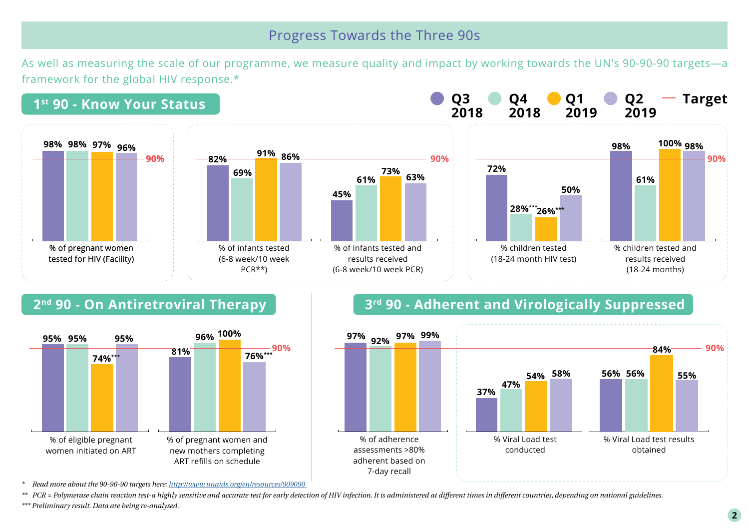#### Progress Towards the Three 90s

As well as measuring the scale of our programme, we measure quality and impact by working towards the UN's 90-90-90 targets—a framework for the global HIV response.\*





# **2<sup>nd</sup> 90 - On Antiretroviral Therapy 1 8 and 90 - Adherent and Virologically Suppressed**



*\* Read more about the 90-90-90 targets here:<http://www.unaids.org/en/resources/909090>*

*\*\* PCR = Polymerase chain reaction test-a highly sensitive and accurate test for early detection of HIV infection. It is administered at different times in different countries, depending on national guidelines.*

*\*\*\* Preliminary result. Data are being re-analysed.*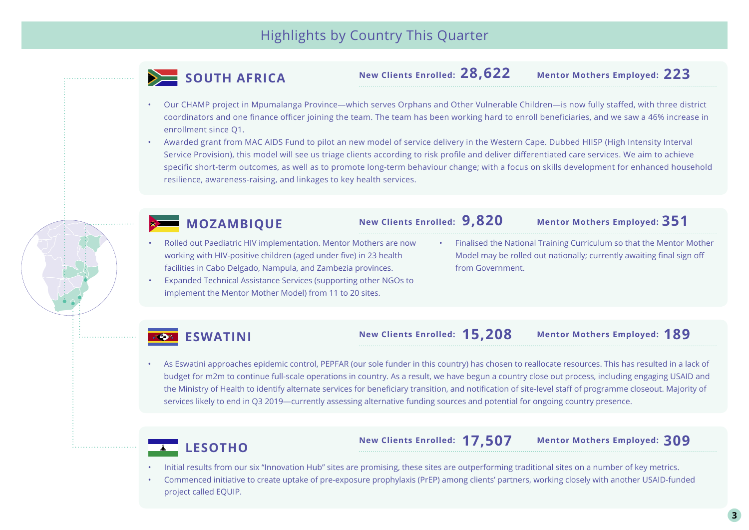

**28,622 New Clients Enrolled:** 

**223 Mentor Mothers Employed:**

- Our CHAMP project in Mpumalanga Province—which serves Orphans and Other Vulnerable Children—is now fully staffed, with three district coordinators and one finance officer joining the team. The team has been working hard to enroll beneficiaries, and we saw a 46% increase in enrollment since Q1.
- Awarded grant from MAC AIDS Fund to pilot an new model of service delivery in the Western Cape. Dubbed HIISP (High Intensity Interval Service Provision), this model will see us triage clients according to risk profile and deliver differentiated care services. We aim to achieve specific short-term outcomes, as well as to promote long-term behaviour change; with a focus on skills development for enhanced household resilience, awareness-raising, and linkages to key health services.



#### **MOZAMBIQUE**

**9,820 New Clients Enrolled:** 

**351 Mentor Mothers Employed:**

- Rolled out Paediatric HIV implementation. Mentor Mothers are now working with HIV-positive children (aged under five) in 23 health facilities in Cabo Delgado, Nampula, and Zambezia provinces.
- Expanded Technical Assistance Services (supporting other NGOs to implement the Mentor Mother Model) from 11 to 20 sites.
- Finalised the National Training Curriculum so that the Mentor Mother Model may be rolled out nationally; currently awaiting final sign off from Government.

#### **ESWATINI**

#### **15,208 New Clients Enrolled:**

**189 Mentor Mothers Employed:**

• As Eswatini approaches epidemic control, PEPFAR (our sole funder in this country) has chosen to reallocate resources. This has resulted in a lack of budget for m2m to continue full-scale operations in country. As a result, we have begun a country close out process, including engaging USAID and the Ministry of Health to identify alternate services for beneficiary transition, and notification of site-level staff of programme closeout. Majority of services likely to end in Q3 2019—currently assessing alternative funding sources and potential for ongoing country presence.



**17,507 New Clients Enrolled:** 

**309 Mentor Mothers Employed:**

- Initial results from our six "Innovation Hub" sites are promising, these sites are outperforming traditional sites on a number of key metrics.
- Commenced initiative to create uptake of pre-exposure prophylaxis (PrEP) among clients' partners, working closely with another USAID-funded project called EQUIP.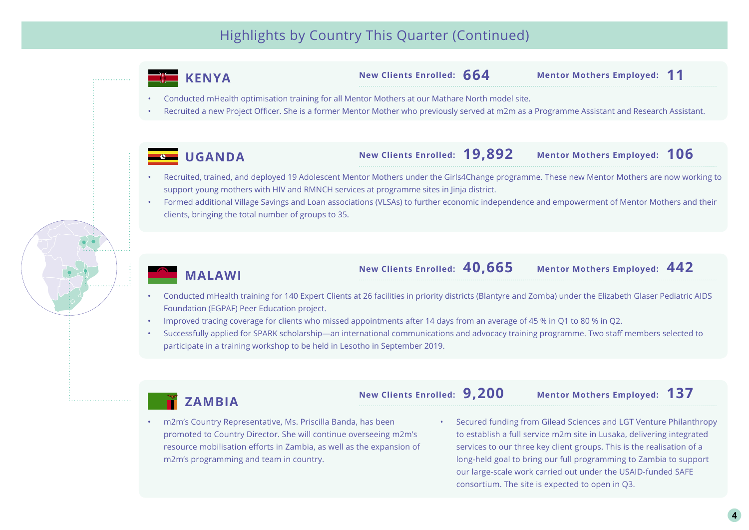## Highlights by Country This Quarter (Continued)



m2m's programming and team in country.

long-held goal to bring our full programming to Zambia to support our large-scale work carried out under the USAID-funded SAFE consortium. The site is expected to open in Q3.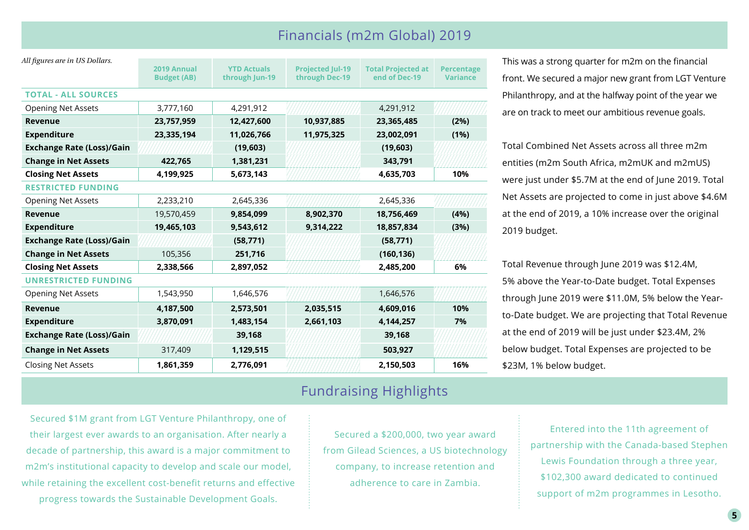#### Financials (m2m Global) 2019

| All figures are in US Dollars.   |                                   |                                      |                                           |                                            |                                      |
|----------------------------------|-----------------------------------|--------------------------------------|-------------------------------------------|--------------------------------------------|--------------------------------------|
|                                  | 2019 Annual<br><b>Budget (AB)</b> | <b>YTD Actuals</b><br>through Jun-19 | <b>Projected Jul-19</b><br>through Dec-19 | <b>Total Projected at</b><br>end of Dec-19 | <b>Percentage</b><br><b>Variance</b> |
|                                  |                                   |                                      |                                           |                                            |                                      |
| <b>TOTAL - ALL SOURCES</b>       |                                   |                                      |                                           |                                            |                                      |
| <b>Opening Net Assets</b>        | 3,777,160                         | 4,291,912                            |                                           | 4,291,912                                  |                                      |
| Revenue                          | 23,757,959                        | 12,427,600                           | 10,937,885                                | 23,365,485                                 | (2%)                                 |
| <b>Expenditure</b>               | 23,335,194                        | 11,026,766                           | 11,975,325                                | 23,002,091                                 | (1%)                                 |
| <b>Exchange Rate (Loss)/Gain</b> |                                   | (19,603)                             |                                           | (19, 603)                                  |                                      |
| <b>Change in Net Assets</b>      | 422,765                           | 1,381,231                            |                                           | 343,791                                    |                                      |
| <b>Closing Net Assets</b>        | 4,199,925                         | 5,673,143                            |                                           | 4,635,703                                  | 10%                                  |
| <b>RESTRICTED FUNDING</b>        |                                   |                                      |                                           |                                            |                                      |
| <b>Opening Net Assets</b>        | 2,233,210                         | 2,645,336                            |                                           | 2,645,336                                  |                                      |
| Revenue                          | 19,570,459                        | 9,854,099                            | 8,902,370                                 | 18,756,469                                 | (4%)                                 |
| <b>Expenditure</b>               | 19,465,103                        | 9,543,612                            | 9,314,222                                 | 18,857,834                                 | (3%)                                 |
| <b>Exchange Rate (Loss)/Gain</b> |                                   | (58, 771)                            |                                           | (58, 771)                                  |                                      |
| <b>Change in Net Assets</b>      | 105,356                           | 251,716                              |                                           | (160, 136)                                 |                                      |
| <b>Closing Net Assets</b>        | 2,338,566                         | 2,897,052                            |                                           | 2,485,200                                  | 6%                                   |
| <b>UNRESTRICTED FUNDING</b>      |                                   |                                      |                                           |                                            |                                      |
| <b>Opening Net Assets</b>        | 1,543,950                         | 1,646,576                            |                                           | 1,646,576                                  |                                      |
| Revenue                          | 4,187,500                         | 2,573,501                            | 2,035,515                                 | 4,609,016                                  | 10%                                  |
| <b>Expenditure</b>               | 3,870,091                         | 1,483,154                            | 2,661,103                                 | 4,144,257                                  | 7%                                   |
| <b>Exchange Rate (Loss)/Gain</b> |                                   | 39,168                               |                                           | 39,168                                     |                                      |
| <b>Change in Net Assets</b>      | 317,409                           | 1,129,515                            |                                           | 503,927                                    |                                      |
| <b>Closing Net Assets</b>        | 1,861,359                         | 2,776,091                            |                                           | 2,150,503                                  | 16%                                  |

#### Fundraising Highlights

Secured \$1M grant from LGT Venture Philanthropy, one of their largest ever awards to an organisation. After nearly a decade of partnership, this award is a major commitment to m2m's institutional capacity to develop and scale our model, while retaining the excellent cost-benefit returns and effective progress towards the Sustainable Development Goals.

Secured a \$200,000, two year award from Gilead Sciences, a US biotechnology company, to increase retention and adherence to care in Zambia.

Philanthropy, and at the halfway point of the year we are on track to meet our ambitious revenue goals. Total Combined Net Assets across all three m2m

This was a strong quarter for m2m on the financial

front. We secured a major new grant from LGT Venture

entities (m2m South Africa, m2mUK and m2mUS) were just under \$5.7M at the end of June 2019. Total Net Assets are projected to come in just above \$4.6M at the end of 2019, a 10% increase over the original 2019 budget.

Total Revenue through June 2019 was \$12.4M, 5% above the Year-to-Date budget. Total Expenses through June 2019 were \$11.0M, 5% below the Yearto-Date budget. We are projecting that Total Revenue at the end of 2019 will be just under \$23.4M, 2% below budget. Total Expenses are projected to be \$23M, 1% below budget.

> Entered into the 11th agreement of partnership with the Canada-based Stephen Lewis Foundation through a three year, \$102,300 award dedicated to continued support of m2m programmes in Lesotho.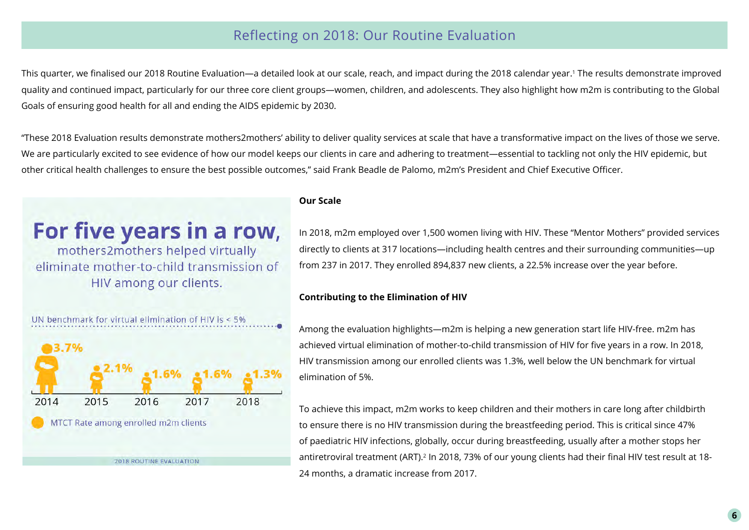#### Reflecting on 2018: Our Routine Evaluation

This quarter, we finalised our 2018 Routine Evaluation—a detailed look at our scale, reach, and impact during the 2018 calendar year.1 The results demonstrate improved quality and continued impact, particularly for our three core client groups—women, children, and adolescents. They also highlight how m2m is contributing to the Global Goals of ensuring good health for all and ending the AIDS epidemic by 2030.

"These 2018 Evaluation results demonstrate mothers2mothers' ability to deliver quality services at scale that have a transformative impact on the lives of those we serve. We are particularly excited to see evidence of how our model keeps our clients in care and adhering to treatment—essential to tackling not only the HIV epidemic, but other critical health challenges to ensure the best possible outcomes," said Frank Beadle de Palomo, m2m's President and Chief Executive Officer.

# For five years in a row,

mothers2mothers helped virtually eliminate mother-to-child transmission of HIV among our clients.

#### **Our Scale**

In 2018, m2m employed over 1,500 women living with HIV. These "Mentor Mothers" provided services directly to clients at 317 locations—including health centres and their surrounding communities—up from 237 in 2017. They enrolled 894,837 new clients, a 22.5% increase over the year before.

#### **Contributing to the Elimination of HIV**

Among the evaluation highlights—m2m is helping a new generation start life HIV-free. m2m has achieved virtual elimination of mother-to-child transmission of HIV for five years in a row. In 2018, HIV transmission among our enrolled clients was 1.3%, well below the UN benchmark for virtual elimination of 5%.

To achieve this impact, m2m works to keep children and their mothers in care long after childbirth to ensure there is no HIV transmission during the breastfeeding period. This is critical since 47% of paediatric HIV infections, globally, occur during breastfeeding, usually after a mother stops her antiretroviral treatment (ART).<sup>2</sup> In 2018, 73% of our young clients had their final HIV test result at 18-24 months, a dramatic increase from 2017.

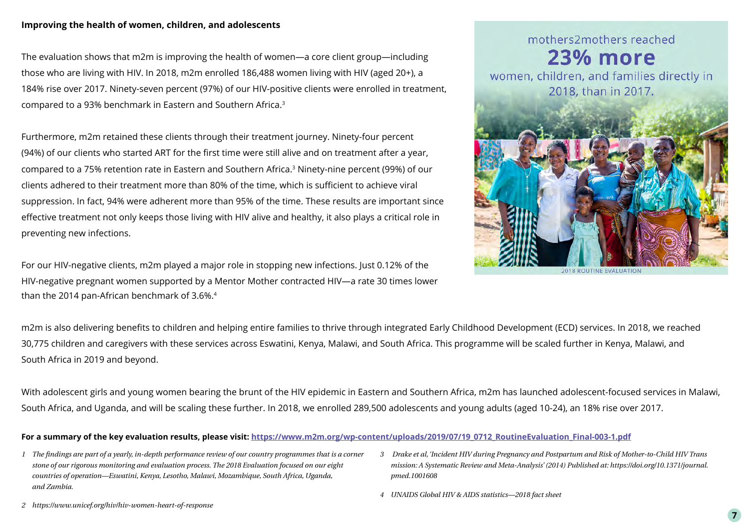#### **Improving the health of women, children, and adolescents**

The evaluation shows that m2m is improving the health of women—a core client group—including those who are living with HIV. In 2018, m2m enrolled 186,488 women living with HIV (aged 20+), a 184% rise over 2017. Ninety-seven percent (97%) of our HIV-positive clients were enrolled in treatment, compared to a 93% benchmark in Eastern and Southern Africa.3

Furthermore, m2m retained these clients through their treatment journey. Ninety-four percent (94%) of our clients who started ART for the first time were still alive and on treatment after a year, compared to a 75% retention rate in Eastern and Southern Africa.3 Ninety-nine percent (99%) of our clients adhered to their treatment more than 80% of the time, which is sufficient to achieve viral suppression. In fact, 94% were adherent more than 95% of the time. These results are important since effective treatment not only keeps those living with HIV alive and healthy, it also plays a critical role in preventing new infections.

For our HIV-negative clients, m2m played a major role in stopping new infections. Just 0.12% of the HIV-negative pregnant women supported by a Mentor Mother contracted HIV—a rate 30 times lower than the 2014 pan-African benchmark of 3.6%.<sup>4</sup>

# mothers2mothers reached 23% more women, children, and families directly in 2018, than in 2017. **2018 ROUTINE EVALUATION**

m2m is also delivering benefits to children and helping entire families to thrive through integrated Early Childhood Development (ECD) services. In 2018, we reached 30,775 children and caregivers with these services across Eswatini, Kenya, Malawi, and South Africa. This programme will be scaled further in Kenya, Malawi, and South Africa in 2019 and beyond.

With adolescent girls and young women bearing the brunt of the HIV epidemic in Eastern and Southern Africa, m2m has launched adolescent-focused services in Malawi, South Africa, and Uganda, and will be scaling these further. In 2018, we enrolled 289,500 adolescents and young adults (aged 10-24), an 18% rise over 2017.

#### For a summary of the key evaluation results, please visit: https://www.m2m.org/wp-content/uploads/2019/07/19\_0712\_RoutineEvaluation\_Final-003-1.pdf

- *1 The findings are part of a yearly, in-depth performance review of our country programmes that is a corner stone of our rigorous monitoring and evaluation process. The 2018 Evaluation focused on our eight countries of operation—Eswatini, Kenya, Lesotho, Malawi, Mozambique, South Africa, Uganda, and Zambia.*
- *3 Drake et al, 'Incident HIV during Pregnancy and Postpartum and Risk of Mother-to-Child HIV Trans mission: A Systematic Review and Meta-Analysis' (2014) Published at: https://doi.org/10.1371/journal. pmed.1001608*
- *4 UNAIDS Global HIV & AIDS statistics—2018 fact sheet*

*2 https://www.unicef.org/hiv/hiv-women-heart-of-response*